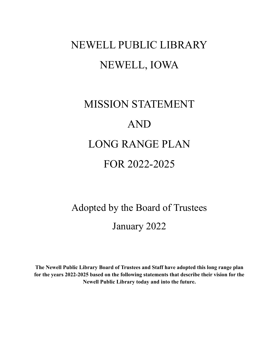# NEWELL PUBLIC LIBRARY NEWELL, IOWA

# MISSION STATEMENT AND LONG RANGE PLAN FOR 2022-2025

# Adopted by the Board of Trustees January 2022

**The Newell Public Library Board of Trustees and Staff have adopted this long range plan for the years 2022-2025 based on the following statements that describe their vision for the Newell Public Library today and into the future.**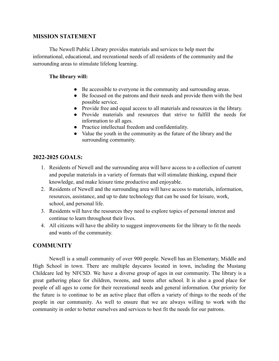### **MISSION STATEMENT**

The Newell Public Library provides materials and services to help meet the informational, educational, and recreational needs of all residents of the community and the surrounding areas to stimulate lifelong learning.

### **The library will:**

- Be accessible to everyone in the community and surrounding areas.
- Be focused on the patrons and their needs and provide them with the best possible service.
- Provide free and equal access to all materials and resources in the library.
- Provide materials and resources that strive to fulfill the needs for information to all ages.
- Practice intellectual freedom and confidentiality.
- Value the youth in the community as the future of the library and the surrounding community.

## **2022-2025 GOALS:**

- 1. Residents of Newell and the surrounding area will have access to a collection of current and popular materials in a variety of formats that will stimulate thinking, expand their knowledge, and make leisure time productive and enjoyable.
- 2. Residents of Newell and the surrounding area will have access to materials, information, resources, assistance, and up to date technology that can be used for leisure, work, school, and personal life.
- 3. Residents will have the resources they need to explore topics of personal interest and continue to learn throughout their lives.
- 4. All citizens will have the ability to suggest improvements for the library to fit the needs and wants of the community.

## **COMMUNITY**

Newell is a small community of over 900 people. Newell has an Elementary, Middle and High School in town. There are multiple daycares located in town, including the Mustang Childcare led by NFCSD. We have a diverse group of ages in our community. The library is a great gathering place for children, tweens, and teens after school. It is also a good place for people of all ages to come for their recreational needs and general information. Our priority for the future is to continue to be an active place that offers a variety of things to the needs of the people in our community. As well to ensure that we are always willing to work with the community in order to better ourselves and services to best fit the needs for our patrons.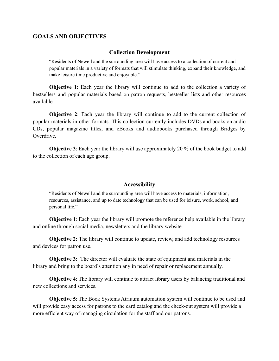#### **GOALS AND OBJECTIVES**

#### **Collection Development**

"Residents of Newell and the surrounding area will have access to a collection of current and popular materials in a variety of formats that will stimulate thinking, expand their knowledge, and make leisure time productive and enjoyable."

**Objective 1**: Each year the library will continue to add to the collection a variety of bestsellers and popular materials based on patron requests, bestseller lists and other resources available.

**Objective 2**: Each year the library will continue to add to the current collection of popular materials in other formats. This collection currently includes DVDs and books on audio CDs, popular magazine titles, and eBooks and audiobooks purchased through Bridges by Overdrive.

**Objective 3**: Each year the library will use approximately 20 % of the book budget to add to the collection of each age group.

#### **Accessibility**

"Residents of Newell and the surrounding area will have access to materials, information, resources, assistance, and up to date technology that can be used for leisure, work, school, and personal life."

**Objective 1**: Each year the library will promote the reference help available in the library and online through social media, newsletters and the library website.

**Objective 2:** The library will continue to update, review, and add technology resources and devices for patron use.

**Objective 3:** The director will evaluate the state of equipment and materials in the library and bring to the board's attention any in need of repair or replacement annually.

**Objective 4**: The library will continue to attract library users by balancing traditional and new collections and services.

**Objective 5**: The Book Systems Atriuum automation system will continue to be used and will provide easy access for patrons to the card catalog and the check-out system will provide a more efficient way of managing circulation for the staff and our patrons.